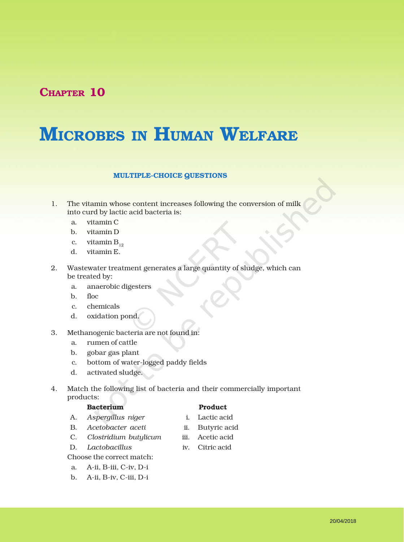## CHAPTER 10

# MICROBES IN HUMAN WELFARE

### MULTIPLE-CHOICE QUESTIONS

- 1. The vitamin whose content increases following the conversion of milk into curd by lactic acid bacteria is:
	- a. vitamin C
	- b. vitamin D
	- c. vitamin  $B_{12}$
	- d. vitamin E.
- 2. Wastewater treatment generates a large quantity of sludge, which can be treated by:
	- a. anaerobic digesters
	- b. floc
	- c. chemicals
	- d. oxidation pond.
- 3. Methanogenic bacteria are not found in:
	- a. rumen of cattle
	- b. gobar gas plant
	- c. bottom of water-logged paddy fields
	- d. activated sludge.
- 4. Match the following list of bacteria and their commercially important products:

### Bacterium Product

- A. *Aspergillus niger* i. Lactic acid
- B. *Acetobacter aceti* ii. Butyric acid
- C. *Clostridium butylicum* iii. Acetic acid
- D. *Lactobacillus* iv. Citric acid

Choose the correct match:

- a. A-ii, B-iii, C-iv, D-i
- b. A-ii, B-iv, C-iii, D-i
- 
- -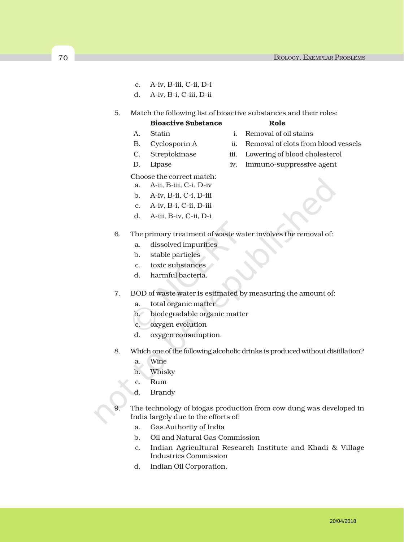- c. A-iv, B-iii, C-ii, D-i
- d. A-iv, B-i, C-iii, D-ii
- 5. Match the following list of bioactive substances and their roles:

### Bioactive Substance Role

- 
- A. Statin i. Removal of oil stains
	-
- B. Cyclosporin A ii. Removal of clots from blood vessels
- C. Streptokinase iii. Lowering of blood cholesterol
- D. Lipase iv. Immuno-suppressive agent
- Choose the correct match:
	- a. A-ii, B-iii, C-i, D-iv
- b. A-iv, B-ii, C-i, D-iii
- 
- d. A-iii, B-iv, C-ii, D-i
- 6. The primary treatment of waste water involves the removal of:
	- a. dissolved impurities
	- b. stable particles
	- c. toxic substances
	- d. harmful bacteria.
- 7. BOD of waste water is estimated by measuring the amount of:
	- a. total organic matter
	- b. biodegradable organic matter
	- c. oxygen evolution
	- d. oxygen consumption.
- 8. Which one of the following alcoholic drinks is produced without distillation?
	- a. Wine
	- b. Whisky
	- c. Rum
	- d. Brandy
	- The technology of biogas production from cow dung was developed in India largely due to the efforts of:
		- a. Gas Authority of India
		- b. Oil and Natural Gas Commission
		- c. Indian Agricultural Research Institute and Khadi & Village Industries Commission
		- d. Indian Oil Corporation.
- -
- 
- c. A-iv, B-i, C-ii, D-iii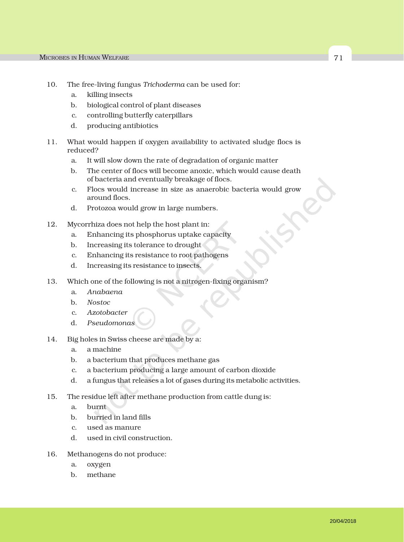- 10. The free-living fungus *Trichoderma* can be used for:
	- a. killing insects
	- b. biological control of plant diseases
	- c. controlling butterfly caterpillars
	- d. producing antibiotics
- 11. What would happen if oxygen availability to activated sludge flocs is reduced?
	- a. It will slow down the rate of degradation of organic matter
	- b. The center of flocs will become anoxic, which would cause death of bacteria and eventually breakage of flocs.
	- c. Flocs would increase in size as anaerobic bacteria would grow around flocs.
	- d. Protozoa would grow in large numbers.
- 12. Mycorrhiza does not help the host plant in:
	- a. Enhancing its phosphorus uptake capacity
	- b. Increasing its tolerance to drought
	- c. Enhancing its resistance to root pathogens
	- d. Increasing its resistance to insects.
- 13. Which one of the following is not a nitrogen-fixing organism?
	- a. *Anabaena*
	- b. *Nostoc*
	- c. *Azotobacter*
	- d. *Pseudomonas*
- 14. Big holes in Swiss cheese are made by a:
	- a. a machine
	- b. a bacterium that produces methane gas
	- c. a bacterium producing a large amount of carbon dioxide
	- d. a fungus that releases a lot of gases during its metabolic activities.
- 15. The residue left after methane production from cattle dung is:
	- a. burnt
	- b. burried in land fills
	- c. used as manure
	- d. used in civil construction.
- 16. Methanogens do not produce:
	- a. oxygen
	- b. methane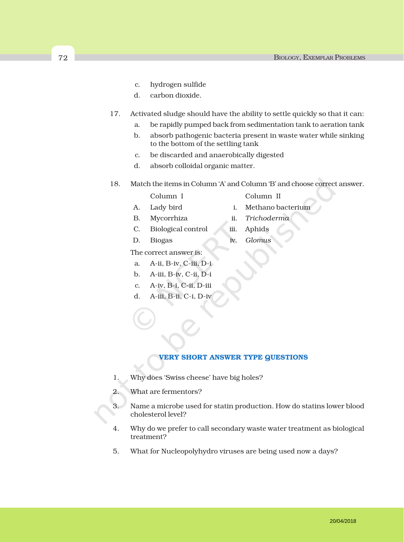- c. hydrogen sulfide
- d. carbon dioxide.
- 17. Activated sludge should have the ability to settle quickly so that it can:
	- a. be rapidly pumped back from sedimentation tank to aeration tank
	- b. absorb pathogenic bacteria present in waste water while sinking to the bottom of the settling tank
	- c. be discarded and anaerobically digested
	- d. absorb colloidal organic matter.
- 18. Match the items in Column 'A' and Column 'B' and choose correct answer.
	- Column I Column II
	- A. Lady bird i. Methano bacterium
	- B. Mycorrhiza ii. *Trichoderma*
		-
	- C. Biological control iii. Aphids
	- D. Biogas iv. *Glomus*
	- The correct answer is:
	- a. A-ii, B-iv, C-iii, D-i
	- b. A-iii, B-iv, C-ii, D-i
	- c. A-iv, B-i, C-ii, D-iii
	- d. A-iii, B-ii, C-i, D-iv
		- VERY SHORT ANSWER TYPE QUESTIONS
	- 1. Why does 'Swiss cheese' have big holes?
	- 2. What are fermentors?
	- 3. Name a microbe used for statin production. How do statins lower blood cholesterol level?
	- 4. Why do we prefer to call secondary waste water treatment as biological treatment?
	- 5. What for Nucleopolyhydro viruses are being used now a days?

20/04/2018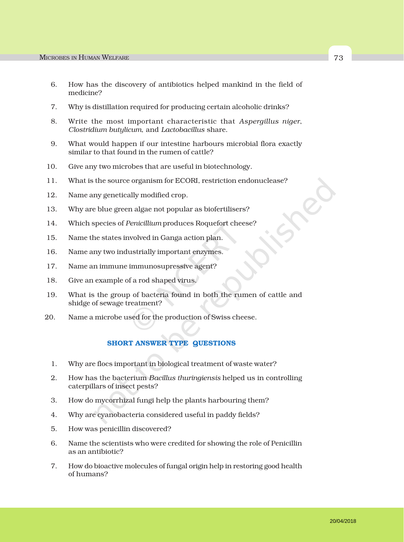- 6. How has the discovery of antibiotics helped mankind in the field of medicine?
- 7. Why is distillation required for producing certain alcoholic drinks?
- 8. Write the most important characteristic that *Aspergillus niger*, *Clostridium butylicum*, and *Lactobacillus* share.
- 9. What would happen if our intestine harbours microbial flora exactly similar to that found in the rumen of cattle?
- 10. Give any two microbes that are useful in biotechnology.
- 11. What is the source organism for ECORI, restriction endonuclease?
- 12. Name any genetically modified crop.
- 13. Why are blue green algae not popular as biofertilisers?
- 14. Which species of *Penicillium* produces Roquefort cheese?
- 15. Name the states involved in Ganga action plan.
- 16. Name any two industrially important enzymes.
- 17. Name an immune immunosupressive agent?
- 18. Give an example of a rod shaped virus.
- 19. What is the group of bacteria found in both the rumen of cattle and shidge of sewage treatment?
- 20. Name a microbe used for the production of Swiss cheese.

### SHORT ANSWER TYPE QUESTIONS

- 1. Why are flocs important in biological treatment of waste water?
- 2. How has the bacterium *Bacillus thuringiensis* helped us in controlling caterpillars of insect pests?
- 3. How do mycorrhizal fungi help the plants harbouring them?
- 4. Why are cyanobacteria considered useful in paddy fields?
- 5. How was penicillin discovered?
- 6. Name the scientists who were credited for showing the role of Penicillin as an antibiotic?
- 7. How do bioactive molecules of fungal origin help in restoring good health of humans?